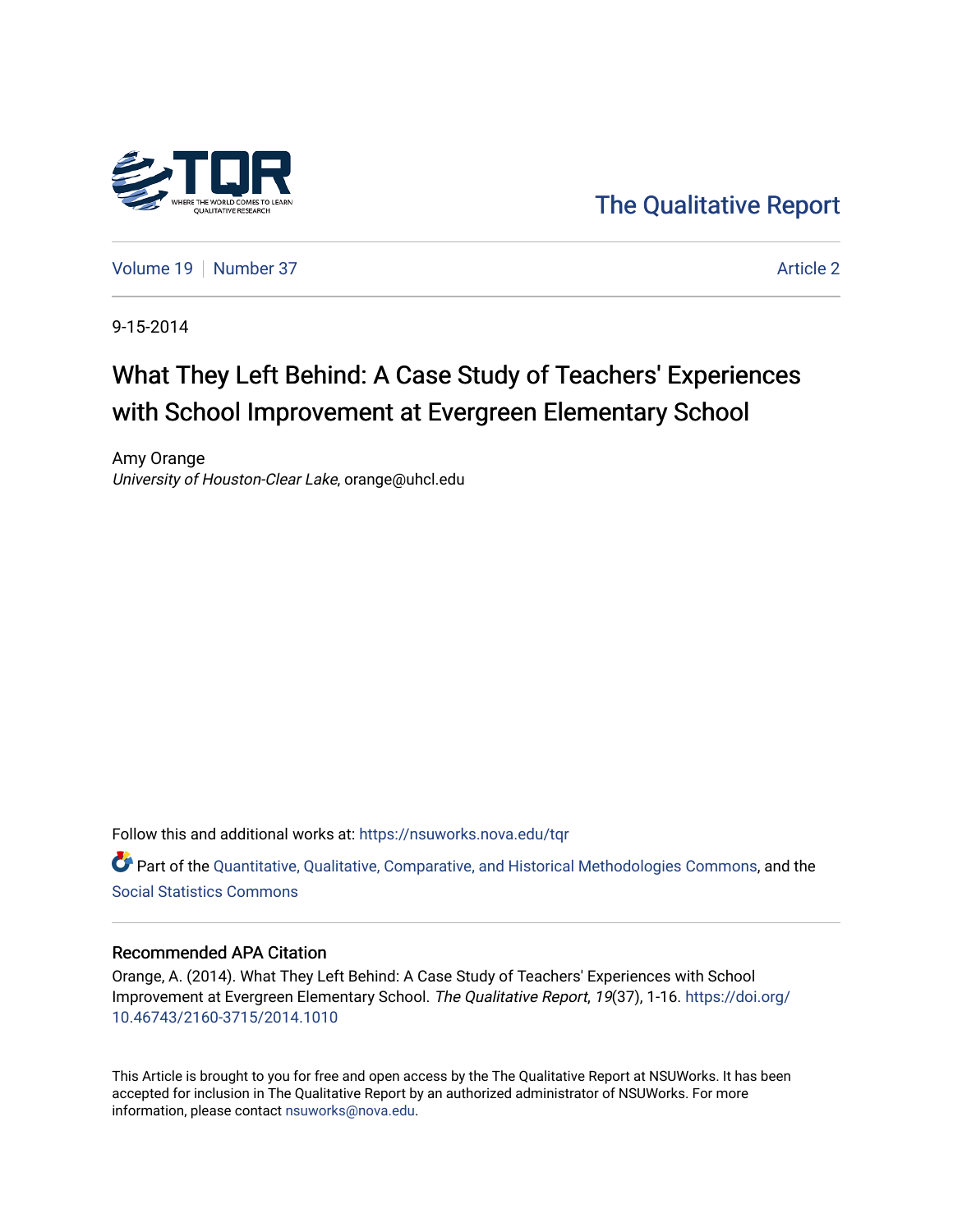

[The Qualitative Report](https://nsuworks.nova.edu/tqr) 

[Volume 19](https://nsuworks.nova.edu/tqr/vol19) [Number 37](https://nsuworks.nova.edu/tqr/vol19/iss37) Article 2

9-15-2014

# What They Left Behind: A Case Study of Teachers' Experiences with School Improvement at Evergreen Elementary School

Amy Orange University of Houston-Clear Lake, orange@uhcl.edu

Follow this and additional works at: [https://nsuworks.nova.edu/tqr](https://nsuworks.nova.edu/tqr?utm_source=nsuworks.nova.edu%2Ftqr%2Fvol19%2Fiss37%2F2&utm_medium=PDF&utm_campaign=PDFCoverPages) 

Part of the [Quantitative, Qualitative, Comparative, and Historical Methodologies Commons,](http://network.bepress.com/hgg/discipline/423?utm_source=nsuworks.nova.edu%2Ftqr%2Fvol19%2Fiss37%2F2&utm_medium=PDF&utm_campaign=PDFCoverPages) and the [Social Statistics Commons](http://network.bepress.com/hgg/discipline/1275?utm_source=nsuworks.nova.edu%2Ftqr%2Fvol19%2Fiss37%2F2&utm_medium=PDF&utm_campaign=PDFCoverPages) 

#### Recommended APA Citation

Orange, A. (2014). What They Left Behind: A Case Study of Teachers' Experiences with School Improvement at Evergreen Elementary School. The Qualitative Report, 19(37), 1-16. [https://doi.org/](https://doi.org/10.46743/2160-3715/2014.1010) [10.46743/2160-3715/2014.1010](https://doi.org/10.46743/2160-3715/2014.1010)

This Article is brought to you for free and open access by the The Qualitative Report at NSUWorks. It has been accepted for inclusion in The Qualitative Report by an authorized administrator of NSUWorks. For more information, please contact [nsuworks@nova.edu.](mailto:nsuworks@nova.edu)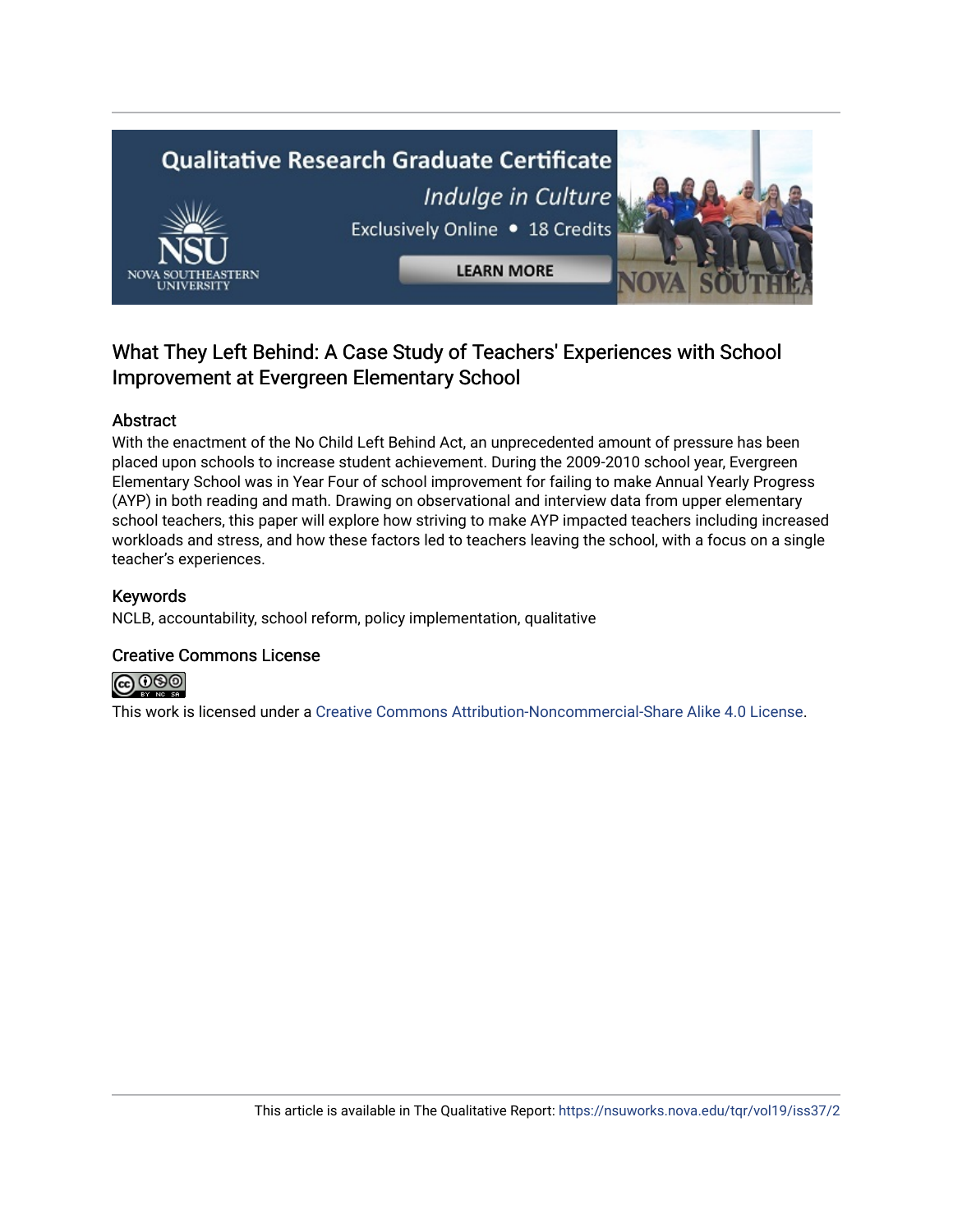# **Qualitative Research Graduate Certificate** Indulge in Culture Exclusively Online . 18 Credits **LEARN MORE**

### What They Left Behind: A Case Study of Teachers' Experiences with School Improvement at Evergreen Elementary School

#### Abstract

With the enactment of the No Child Left Behind Act, an unprecedented amount of pressure has been placed upon schools to increase student achievement. During the 2009-2010 school year, Evergreen Elementary School was in Year Four of school improvement for failing to make Annual Yearly Progress (AYP) in both reading and math. Drawing on observational and interview data from upper elementary school teachers, this paper will explore how striving to make AYP impacted teachers including increased workloads and stress, and how these factors led to teachers leaving the school, with a focus on a single teacher's experiences.

#### Keywords

NCLB, accountability, school reform, policy implementation, qualitative

#### Creative Commons License



This work is licensed under a [Creative Commons Attribution-Noncommercial-Share Alike 4.0 License](https://creativecommons.org/licenses/by-nc-sa/4.0/).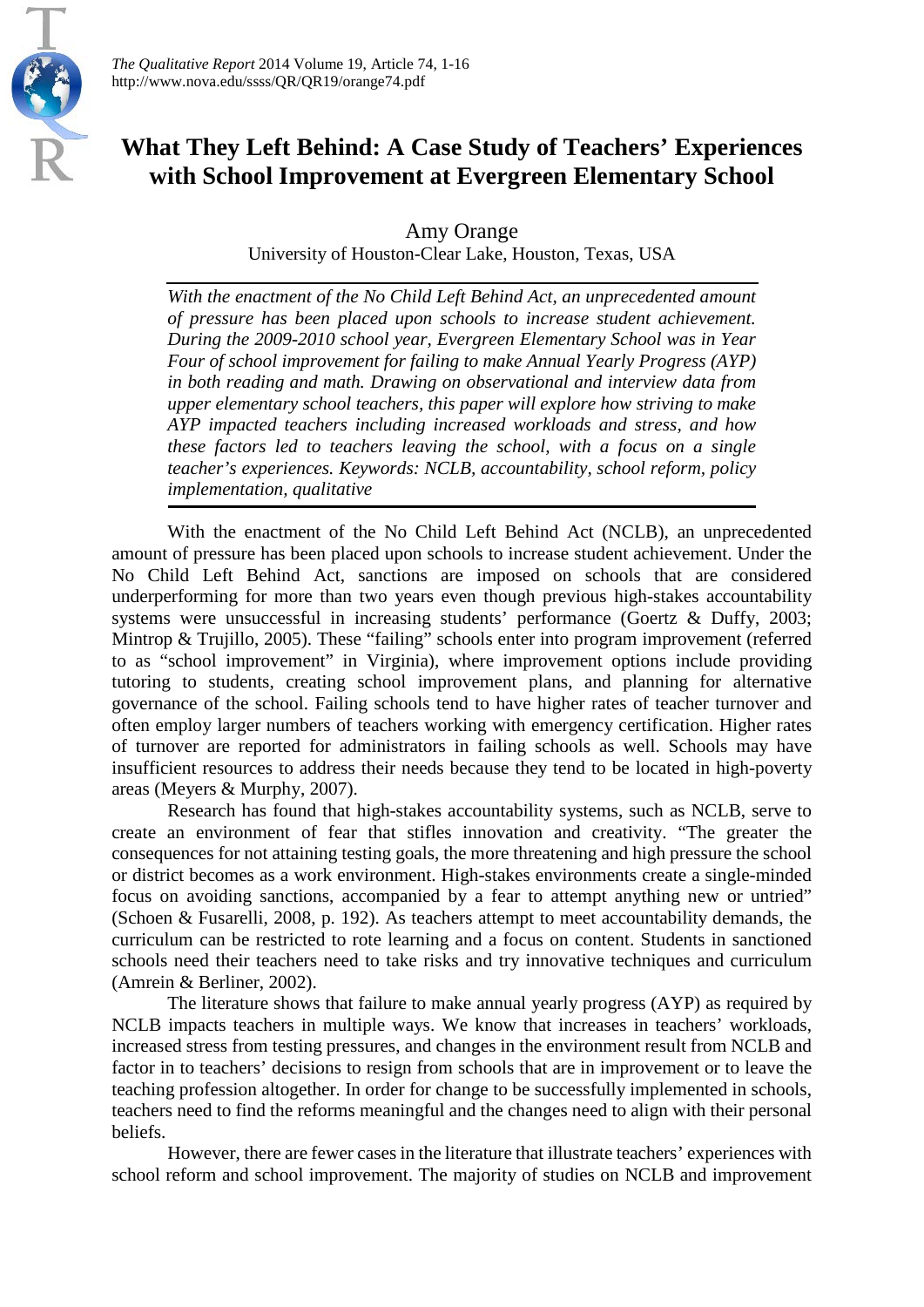

## **What They Left Behind: A Case Study of Teachers' Experiences with School Improvement at Evergreen Elementary School**

Amy Orange

University of Houston-Clear Lake, Houston, Texas, USA

*With the enactment of the No Child Left Behind Act, an unprecedented amount of pressure has been placed upon schools to increase student achievement. During the 2009-2010 school year, Evergreen Elementary School was in Year Four of school improvement for failing to make Annual Yearly Progress (AYP) in both reading and math. Drawing on observational and interview data from upper elementary school teachers, this paper will explore how striving to make AYP impacted teachers including increased workloads and stress, and how these factors led to teachers leaving the school, with a focus on a single teacher's experiences. Keywords: NCLB, accountability, school reform, policy implementation, qualitative*

With the enactment of the No Child Left Behind Act (NCLB), an unprecedented amount of pressure has been placed upon schools to increase student achievement. Under the No Child Left Behind Act, sanctions are imposed on schools that are considered underperforming for more than two years even though previous high-stakes accountability systems were unsuccessful in increasing students' performance (Goertz & Duffy, 2003; Mintrop & Trujillo, 2005). These "failing" schools enter into program improvement (referred to as "school improvement" in Virginia), where improvement options include providing tutoring to students, creating school improvement plans, and planning for alternative governance of the school. Failing schools tend to have higher rates of teacher turnover and often employ larger numbers of teachers working with emergency certification. Higher rates of turnover are reported for administrators in failing schools as well. Schools may have insufficient resources to address their needs because they tend to be located in high-poverty areas (Meyers & Murphy, 2007).

Research has found that high-stakes accountability systems, such as NCLB, serve to create an environment of fear that stifles innovation and creativity. "The greater the consequences for not attaining testing goals, the more threatening and high pressure the school or district becomes as a work environment. High-stakes environments create a single-minded focus on avoiding sanctions, accompanied by a fear to attempt anything new or untried" (Schoen & Fusarelli, 2008, p. 192). As teachers attempt to meet accountability demands, the curriculum can be restricted to rote learning and a focus on content. Students in sanctioned schools need their teachers need to take risks and try innovative techniques and curriculum (Amrein & Berliner, 2002).

The literature shows that failure to make annual yearly progress (AYP) as required by NCLB impacts teachers in multiple ways. We know that increases in teachers' workloads, increased stress from testing pressures, and changes in the environment result from NCLB and factor in to teachers' decisions to resign from schools that are in improvement or to leave the teaching profession altogether. In order for change to be successfully implemented in schools, teachers need to find the reforms meaningful and the changes need to align with their personal beliefs.

However, there are fewer cases in the literature that illustrate teachers' experiences with school reform and school improvement. The majority of studies on NCLB and improvement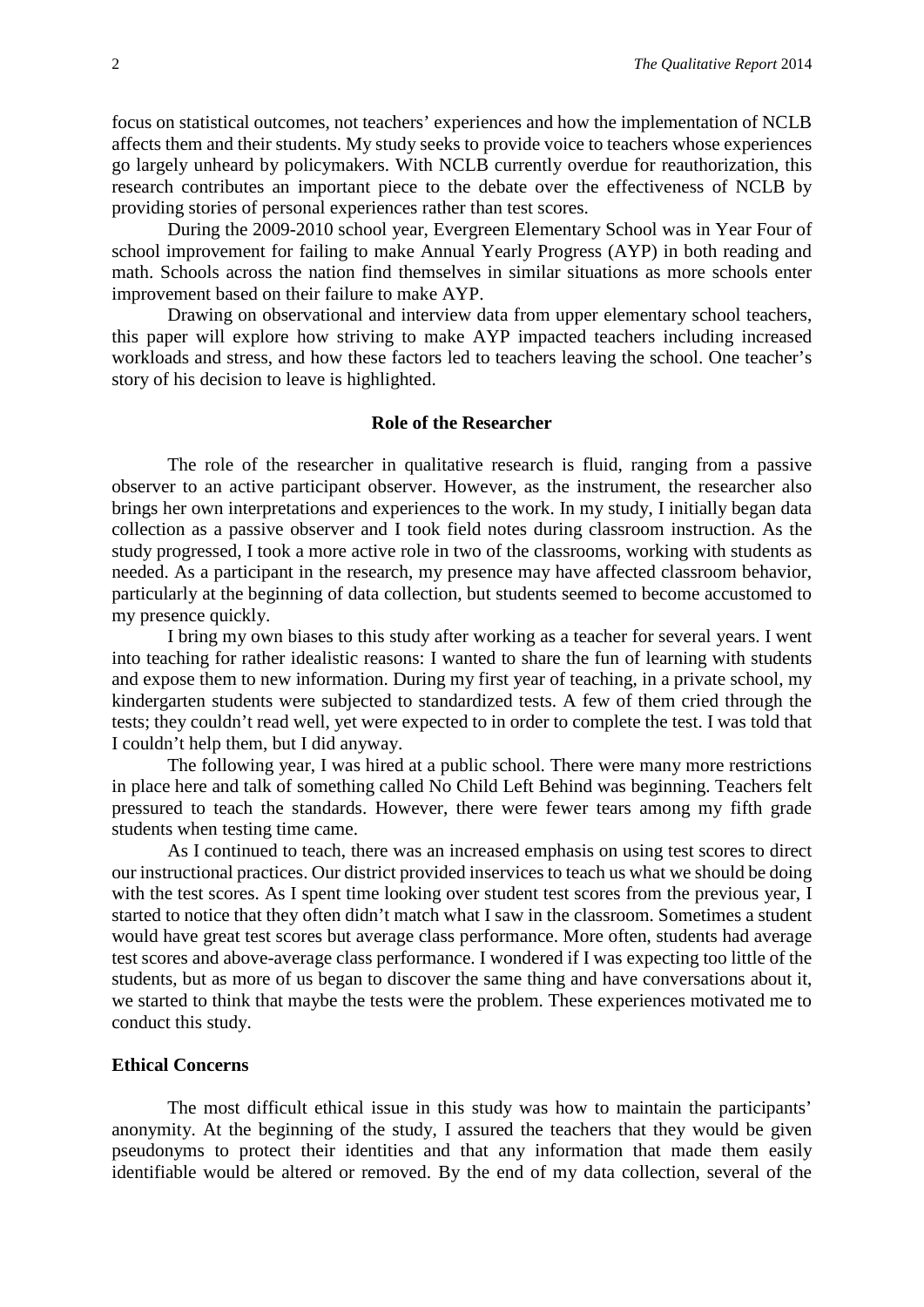focus on statistical outcomes, not teachers' experiences and how the implementation of NCLB affects them and their students. My study seeks to provide voice to teachers whose experiences go largely unheard by policymakers. With NCLB currently overdue for reauthorization, this research contributes an important piece to the debate over the effectiveness of NCLB by providing stories of personal experiences rather than test scores.

During the 2009-2010 school year, Evergreen Elementary School was in Year Four of school improvement for failing to make Annual Yearly Progress (AYP) in both reading and math. Schools across the nation find themselves in similar situations as more schools enter improvement based on their failure to make AYP.

Drawing on observational and interview data from upper elementary school teachers, this paper will explore how striving to make AYP impacted teachers including increased workloads and stress, and how these factors led to teachers leaving the school. One teacher's story of his decision to leave is highlighted.

#### **Role of the Researcher**

The role of the researcher in qualitative research is fluid, ranging from a passive observer to an active participant observer. However, as the instrument, the researcher also brings her own interpretations and experiences to the work. In my study, I initially began data collection as a passive observer and I took field notes during classroom instruction. As the study progressed, I took a more active role in two of the classrooms, working with students as needed. As a participant in the research, my presence may have affected classroom behavior, particularly at the beginning of data collection, but students seemed to become accustomed to my presence quickly.

I bring my own biases to this study after working as a teacher for several years. I went into teaching for rather idealistic reasons: I wanted to share the fun of learning with students and expose them to new information. During my first year of teaching, in a private school, my kindergarten students were subjected to standardized tests. A few of them cried through the tests; they couldn't read well, yet were expected to in order to complete the test. I was told that I couldn't help them, but I did anyway.

The following year, I was hired at a public school. There were many more restrictions in place here and talk of something called No Child Left Behind was beginning. Teachers felt pressured to teach the standards. However, there were fewer tears among my fifth grade students when testing time came.

As I continued to teach, there was an increased emphasis on using test scores to direct our instructional practices. Our district provided inservices to teach us what we should be doing with the test scores. As I spent time looking over student test scores from the previous year, I started to notice that they often didn't match what I saw in the classroom. Sometimes a student would have great test scores but average class performance. More often, students had average test scores and above-average class performance. I wondered if I was expecting too little of the students, but as more of us began to discover the same thing and have conversations about it, we started to think that maybe the tests were the problem. These experiences motivated me to conduct this study.

#### **Ethical Concerns**

The most difficult ethical issue in this study was how to maintain the participants' anonymity. At the beginning of the study, I assured the teachers that they would be given pseudonyms to protect their identities and that any information that made them easily identifiable would be altered or removed. By the end of my data collection, several of the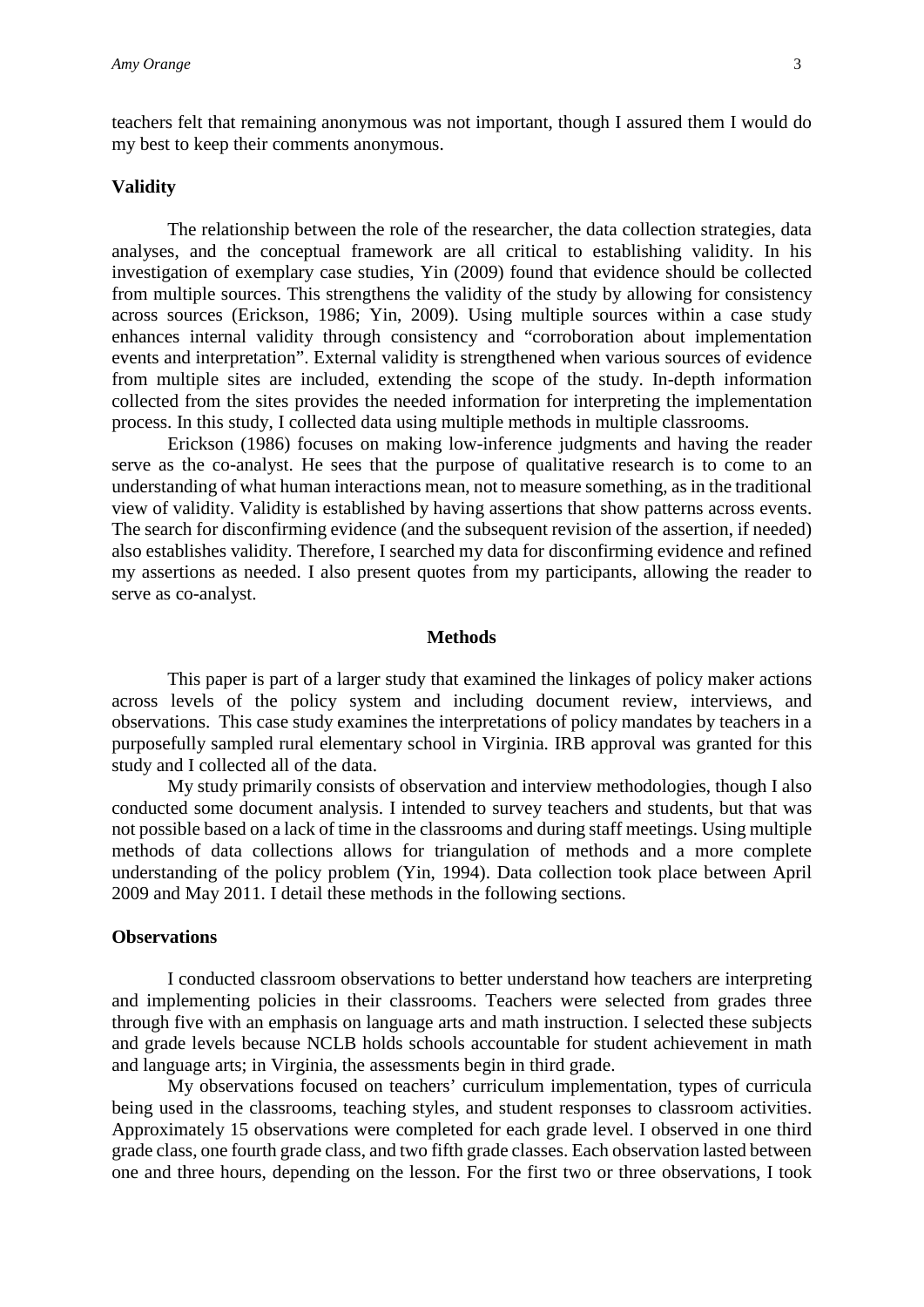teachers felt that remaining anonymous was not important, though I assured them I would do my best to keep their comments anonymous.

#### **Validity**

The relationship between the role of the researcher, the data collection strategies, data analyses, and the conceptual framework are all critical to establishing validity. In his investigation of exemplary case studies, Yin (2009) found that evidence should be collected from multiple sources. This strengthens the validity of the study by allowing for consistency across sources (Erickson, 1986; Yin, 2009). Using multiple sources within a case study enhances internal validity through consistency and "corroboration about implementation events and interpretation". External validity is strengthened when various sources of evidence from multiple sites are included, extending the scope of the study. In-depth information collected from the sites provides the needed information for interpreting the implementation process. In this study, I collected data using multiple methods in multiple classrooms.

Erickson (1986) focuses on making low-inference judgments and having the reader serve as the co-analyst. He sees that the purpose of qualitative research is to come to an understanding of what human interactions mean, not to measure something, as in the traditional view of validity. Validity is established by having assertions that show patterns across events. The search for disconfirming evidence (and the subsequent revision of the assertion, if needed) also establishes validity. Therefore, I searched my data for disconfirming evidence and refined my assertions as needed. I also present quotes from my participants, allowing the reader to serve as co-analyst.

#### **Methods**

This paper is part of a larger study that examined the linkages of policy maker actions across levels of the policy system and including document review, interviews, and observations. This case study examines the interpretations of policy mandates by teachers in a purposefully sampled rural elementary school in Virginia. IRB approval was granted for this study and I collected all of the data.

My study primarily consists of observation and interview methodologies, though I also conducted some document analysis. I intended to survey teachers and students, but that was not possible based on a lack of time in the classrooms and during staff meetings. Using multiple methods of data collections allows for triangulation of methods and a more complete understanding of the policy problem (Yin, 1994). Data collection took place between April 2009 and May 2011. I detail these methods in the following sections.

#### **Observations**

I conducted classroom observations to better understand how teachers are interpreting and implementing policies in their classrooms. Teachers were selected from grades three through five with an emphasis on language arts and math instruction. I selected these subjects and grade levels because NCLB holds schools accountable for student achievement in math and language arts; in Virginia, the assessments begin in third grade.

My observations focused on teachers' curriculum implementation, types of curricula being used in the classrooms, teaching styles, and student responses to classroom activities. Approximately 15 observations were completed for each grade level. I observed in one third grade class, one fourth grade class, and two fifth grade classes. Each observation lasted between one and three hours, depending on the lesson. For the first two or three observations, I took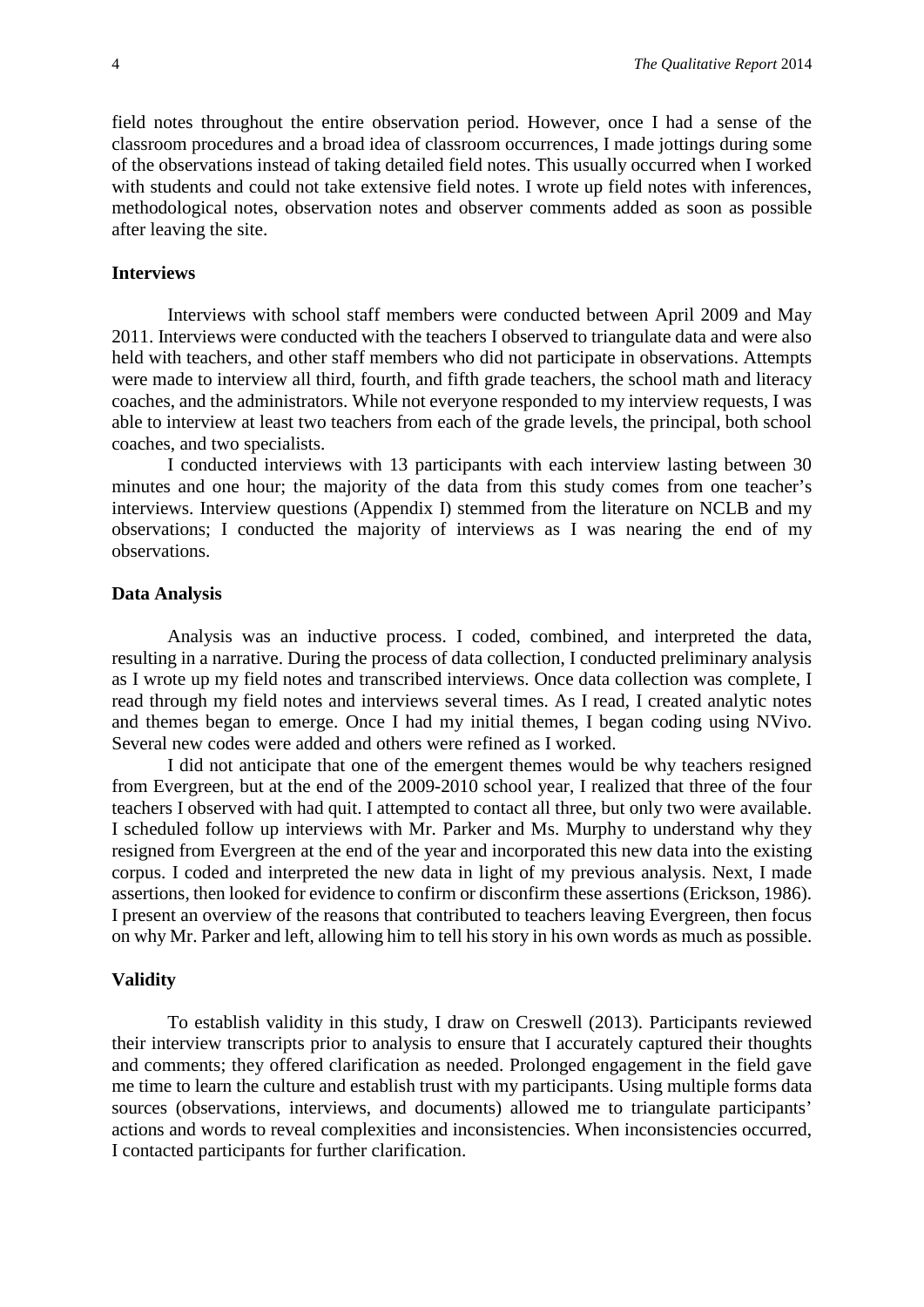field notes throughout the entire observation period. However, once I had a sense of the classroom procedures and a broad idea of classroom occurrences, I made jottings during some of the observations instead of taking detailed field notes. This usually occurred when I worked with students and could not take extensive field notes. I wrote up field notes with inferences, methodological notes, observation notes and observer comments added as soon as possible after leaving the site.

#### **Interviews**

Interviews with school staff members were conducted between April 2009 and May 2011. Interviews were conducted with the teachers I observed to triangulate data and were also held with teachers, and other staff members who did not participate in observations. Attempts were made to interview all third, fourth, and fifth grade teachers, the school math and literacy coaches, and the administrators. While not everyone responded to my interview requests, I was able to interview at least two teachers from each of the grade levels, the principal, both school coaches, and two specialists.

I conducted interviews with 13 participants with each interview lasting between 30 minutes and one hour; the majority of the data from this study comes from one teacher's interviews. Interview questions (Appendix I) stemmed from the literature on NCLB and my observations; I conducted the majority of interviews as I was nearing the end of my observations.

#### **Data Analysis**

Analysis was an inductive process. I coded, combined, and interpreted the data, resulting in a narrative. During the process of data collection, I conducted preliminary analysis as I wrote up my field notes and transcribed interviews. Once data collection was complete, I read through my field notes and interviews several times. As I read, I created analytic notes and themes began to emerge. Once I had my initial themes, I began coding using NVivo. Several new codes were added and others were refined as I worked.

I did not anticipate that one of the emergent themes would be why teachers resigned from Evergreen, but at the end of the 2009-2010 school year, I realized that three of the four teachers I observed with had quit. I attempted to contact all three, but only two were available. I scheduled follow up interviews with Mr. Parker and Ms. Murphy to understand why they resigned from Evergreen at the end of the year and incorporated this new data into the existing corpus. I coded and interpreted the new data in light of my previous analysis. Next, I made assertions, then looked for evidence to confirm or disconfirm these assertions (Erickson, 1986). I present an overview of the reasons that contributed to teachers leaving Evergreen, then focus on why Mr. Parker and left, allowing him to tell his story in his own words as much as possible.

#### **Validity**

To establish validity in this study, I draw on Creswell (2013). Participants reviewed their interview transcripts prior to analysis to ensure that I accurately captured their thoughts and comments; they offered clarification as needed. Prolonged engagement in the field gave me time to learn the culture and establish trust with my participants. Using multiple forms data sources (observations, interviews, and documents) allowed me to triangulate participants' actions and words to reveal complexities and inconsistencies. When inconsistencies occurred, I contacted participants for further clarification.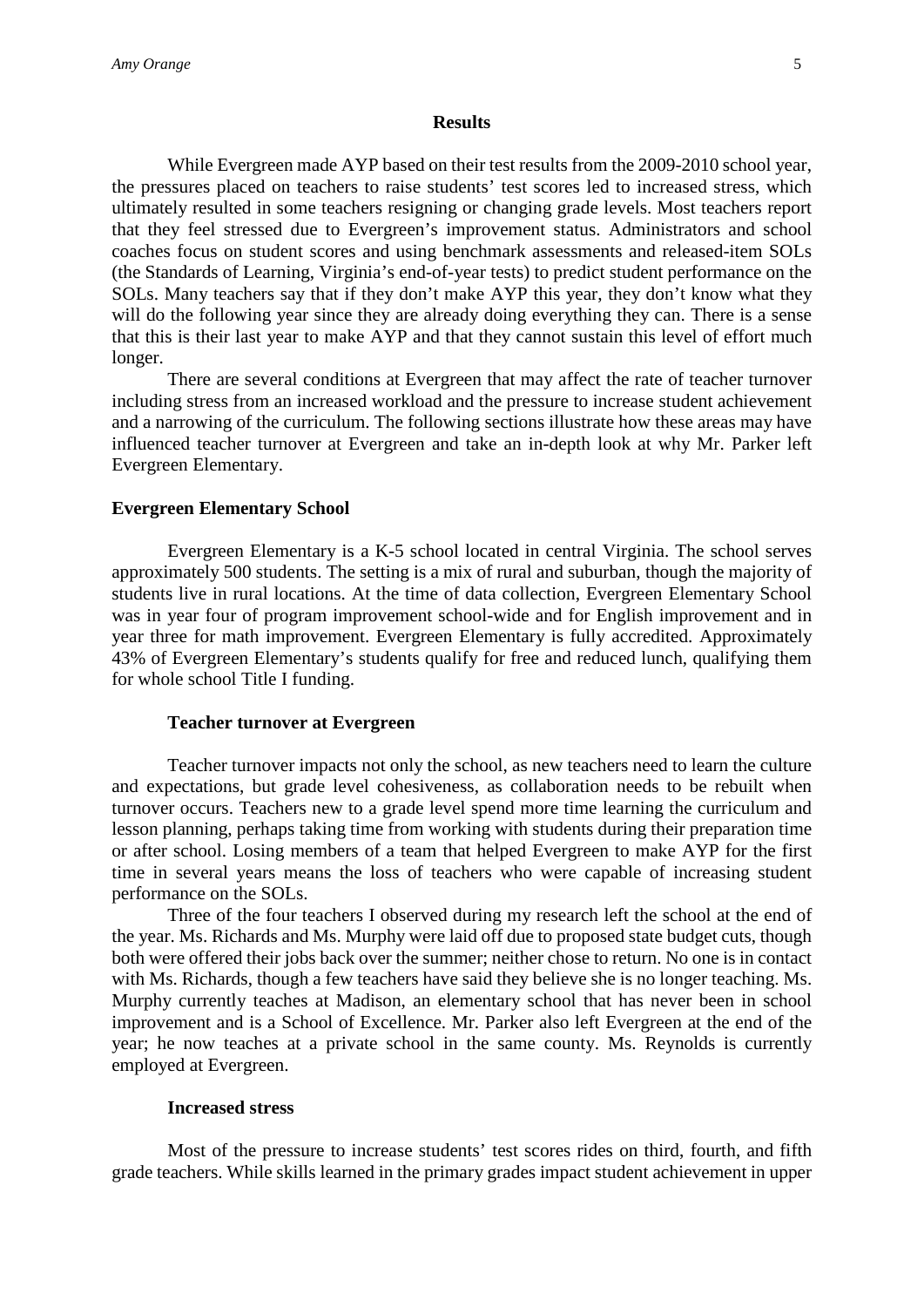#### **Results**

While Evergreen made AYP based on their test results from the 2009-2010 school year, the pressures placed on teachers to raise students' test scores led to increased stress, which ultimately resulted in some teachers resigning or changing grade levels. Most teachers report that they feel stressed due to Evergreen's improvement status. Administrators and school coaches focus on student scores and using benchmark assessments and released-item SOLs (the Standards of Learning, Virginia's end-of-year tests) to predict student performance on the SOLs. Many teachers say that if they don't make AYP this year, they don't know what they will do the following year since they are already doing everything they can. There is a sense that this is their last year to make AYP and that they cannot sustain this level of effort much longer.

There are several conditions at Evergreen that may affect the rate of teacher turnover including stress from an increased workload and the pressure to increase student achievement and a narrowing of the curriculum. The following sections illustrate how these areas may have influenced teacher turnover at Evergreen and take an in-depth look at why Mr. Parker left Evergreen Elementary.

#### **Evergreen Elementary School**

Evergreen Elementary is a K-5 school located in central Virginia. The school serves approximately 500 students. The setting is a mix of rural and suburban, though the majority of students live in rural locations. At the time of data collection, Evergreen Elementary School was in year four of program improvement school-wide and for English improvement and in year three for math improvement. Evergreen Elementary is fully accredited. Approximately 43% of Evergreen Elementary's students qualify for free and reduced lunch, qualifying them for whole school Title I funding.

#### **Teacher turnover at Evergreen**

Teacher turnover impacts not only the school, as new teachers need to learn the culture and expectations, but grade level cohesiveness, as collaboration needs to be rebuilt when turnover occurs. Teachers new to a grade level spend more time learning the curriculum and lesson planning, perhaps taking time from working with students during their preparation time or after school. Losing members of a team that helped Evergreen to make AYP for the first time in several years means the loss of teachers who were capable of increasing student performance on the SOLs.

Three of the four teachers I observed during my research left the school at the end of the year. Ms. Richards and Ms. Murphy were laid off due to proposed state budget cuts, though both were offered their jobs back over the summer; neither chose to return. No one is in contact with Ms. Richards, though a few teachers have said they believe she is no longer teaching. Ms. Murphy currently teaches at Madison, an elementary school that has never been in school improvement and is a School of Excellence. Mr. Parker also left Evergreen at the end of the year; he now teaches at a private school in the same county. Ms. Reynolds is currently employed at Evergreen.

#### **Increased stress**

Most of the pressure to increase students' test scores rides on third, fourth, and fifth grade teachers. While skills learned in the primary grades impact student achievement in upper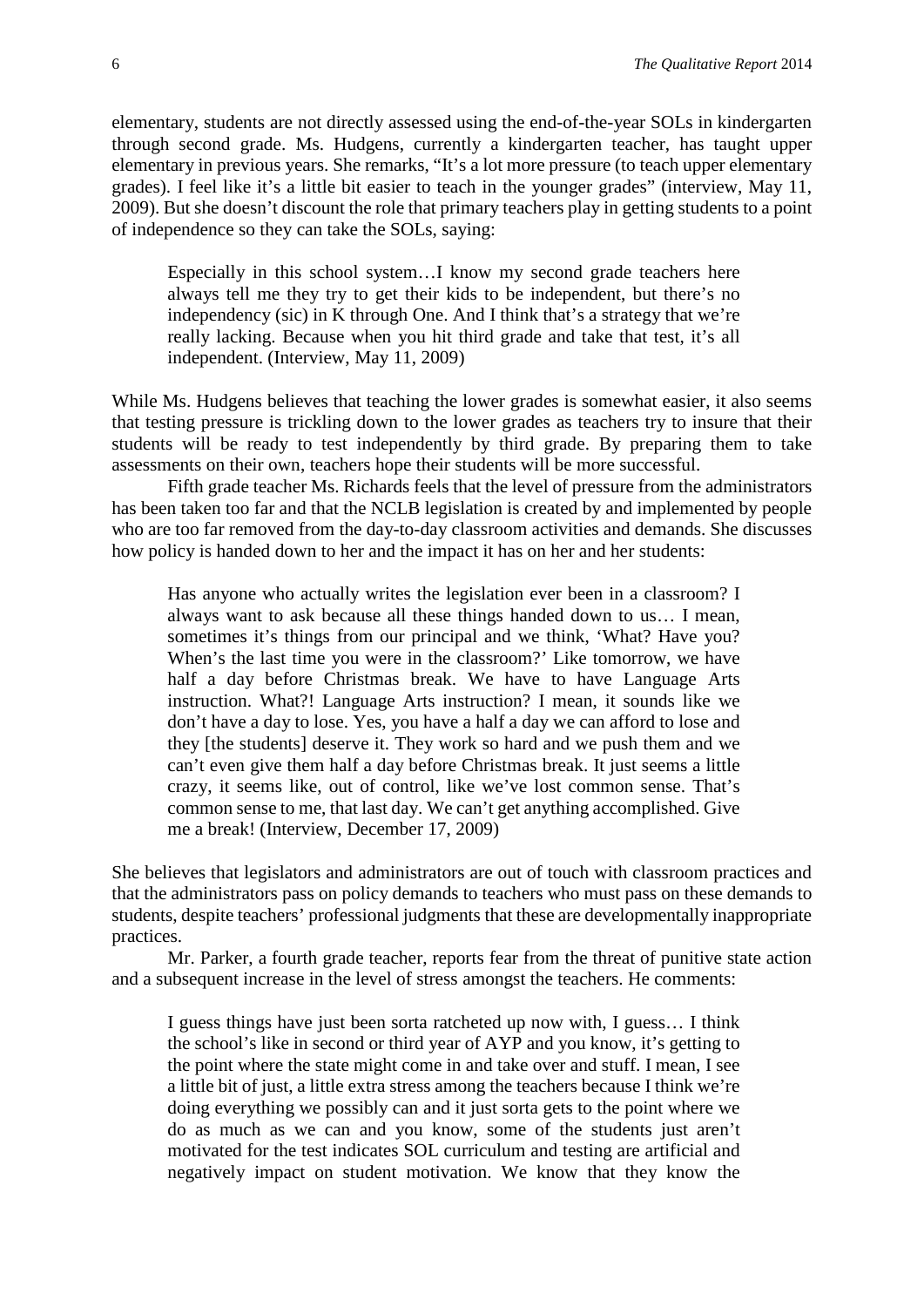elementary, students are not directly assessed using the end-of-the-year SOLs in kindergarten through second grade. Ms. Hudgens, currently a kindergarten teacher, has taught upper elementary in previous years. She remarks, "It's a lot more pressure (to teach upper elementary grades). I feel like it's a little bit easier to teach in the younger grades" (interview, May 11, 2009). But she doesn't discount the role that primary teachers play in getting students to a point of independence so they can take the SOLs, saying:

Especially in this school system…I know my second grade teachers here always tell me they try to get their kids to be independent, but there's no independency (sic) in K through One. And I think that's a strategy that we're really lacking. Because when you hit third grade and take that test, it's all independent. (Interview, May 11, 2009)

While Ms. Hudgens believes that teaching the lower grades is somewhat easier, it also seems that testing pressure is trickling down to the lower grades as teachers try to insure that their students will be ready to test independently by third grade. By preparing them to take assessments on their own, teachers hope their students will be more successful.

Fifth grade teacher Ms. Richards feels that the level of pressure from the administrators has been taken too far and that the NCLB legislation is created by and implemented by people who are too far removed from the day-to-day classroom activities and demands. She discusses how policy is handed down to her and the impact it has on her and her students:

Has anyone who actually writes the legislation ever been in a classroom? I always want to ask because all these things handed down to us… I mean, sometimes it's things from our principal and we think, 'What? Have you? When's the last time you were in the classroom?' Like tomorrow, we have half a day before Christmas break. We have to have Language Arts instruction. What?! Language Arts instruction? I mean, it sounds like we don't have a day to lose. Yes, you have a half a day we can afford to lose and they [the students] deserve it. They work so hard and we push them and we can't even give them half a day before Christmas break. It just seems a little crazy, it seems like, out of control, like we've lost common sense. That's common sense to me, that last day. We can't get anything accomplished. Give me a break! (Interview, December 17, 2009)

She believes that legislators and administrators are out of touch with classroom practices and that the administrators pass on policy demands to teachers who must pass on these demands to students, despite teachers' professional judgments that these are developmentally inappropriate practices.

Mr. Parker, a fourth grade teacher, reports fear from the threat of punitive state action and a subsequent increase in the level of stress amongst the teachers. He comments:

I guess things have just been sorta ratcheted up now with, I guess… I think the school's like in second or third year of AYP and you know, it's getting to the point where the state might come in and take over and stuff. I mean, I see a little bit of just, a little extra stress among the teachers because I think we're doing everything we possibly can and it just sorta gets to the point where we do as much as we can and you know, some of the students just aren't motivated for the test indicates SOL curriculum and testing are artificial and negatively impact on student motivation. We know that they know the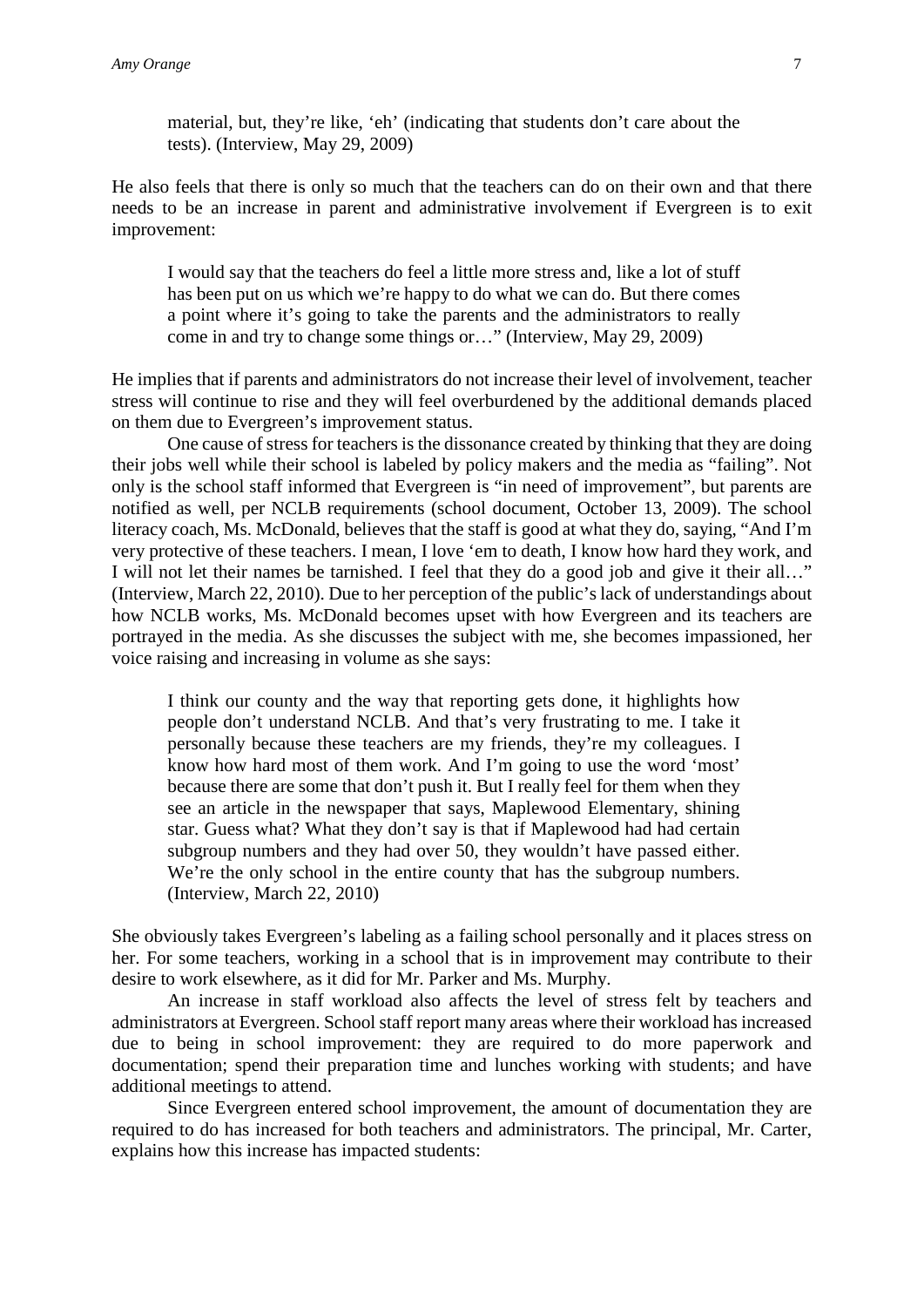material, but, they're like, 'eh' (indicating that students don't care about the tests). (Interview, May 29, 2009)

He also feels that there is only so much that the teachers can do on their own and that there needs to be an increase in parent and administrative involvement if Evergreen is to exit improvement:

I would say that the teachers do feel a little more stress and, like a lot of stuff has been put on us which we're happy to do what we can do. But there comes a point where it's going to take the parents and the administrators to really come in and try to change some things or…" (Interview, May 29, 2009)

He implies that if parents and administrators do not increase their level of involvement, teacher stress will continue to rise and they will feel overburdened by the additional demands placed on them due to Evergreen's improvement status.

One cause of stress for teachers is the dissonance created by thinking that they are doing their jobs well while their school is labeled by policy makers and the media as "failing". Not only is the school staff informed that Evergreen is "in need of improvement", but parents are notified as well, per NCLB requirements (school document, October 13, 2009). The school literacy coach, Ms. McDonald, believes that the staff is good at what they do, saying, "And I'm very protective of these teachers. I mean, I love 'em to death, I know how hard they work, and I will not let their names be tarnished. I feel that they do a good job and give it their all…" (Interview, March 22, 2010). Due to her perception of the public's lack of understandings about how NCLB works, Ms. McDonald becomes upset with how Evergreen and its teachers are portrayed in the media. As she discusses the subject with me, she becomes impassioned, her voice raising and increasing in volume as she says:

I think our county and the way that reporting gets done, it highlights how people don't understand NCLB. And that's very frustrating to me. I take it personally because these teachers are my friends, they're my colleagues. I know how hard most of them work. And I'm going to use the word 'most' because there are some that don't push it. But I really feel for them when they see an article in the newspaper that says, Maplewood Elementary, shining star. Guess what? What they don't say is that if Maplewood had had certain subgroup numbers and they had over 50, they wouldn't have passed either. We're the only school in the entire county that has the subgroup numbers. (Interview, March 22, 2010)

She obviously takes Evergreen's labeling as a failing school personally and it places stress on her. For some teachers, working in a school that is in improvement may contribute to their desire to work elsewhere, as it did for Mr. Parker and Ms. Murphy.

An increase in staff workload also affects the level of stress felt by teachers and administrators at Evergreen. School staff report many areas where their workload has increased due to being in school improvement: they are required to do more paperwork and documentation; spend their preparation time and lunches working with students; and have additional meetings to attend.

Since Evergreen entered school improvement, the amount of documentation they are required to do has increased for both teachers and administrators. The principal, Mr. Carter, explains how this increase has impacted students: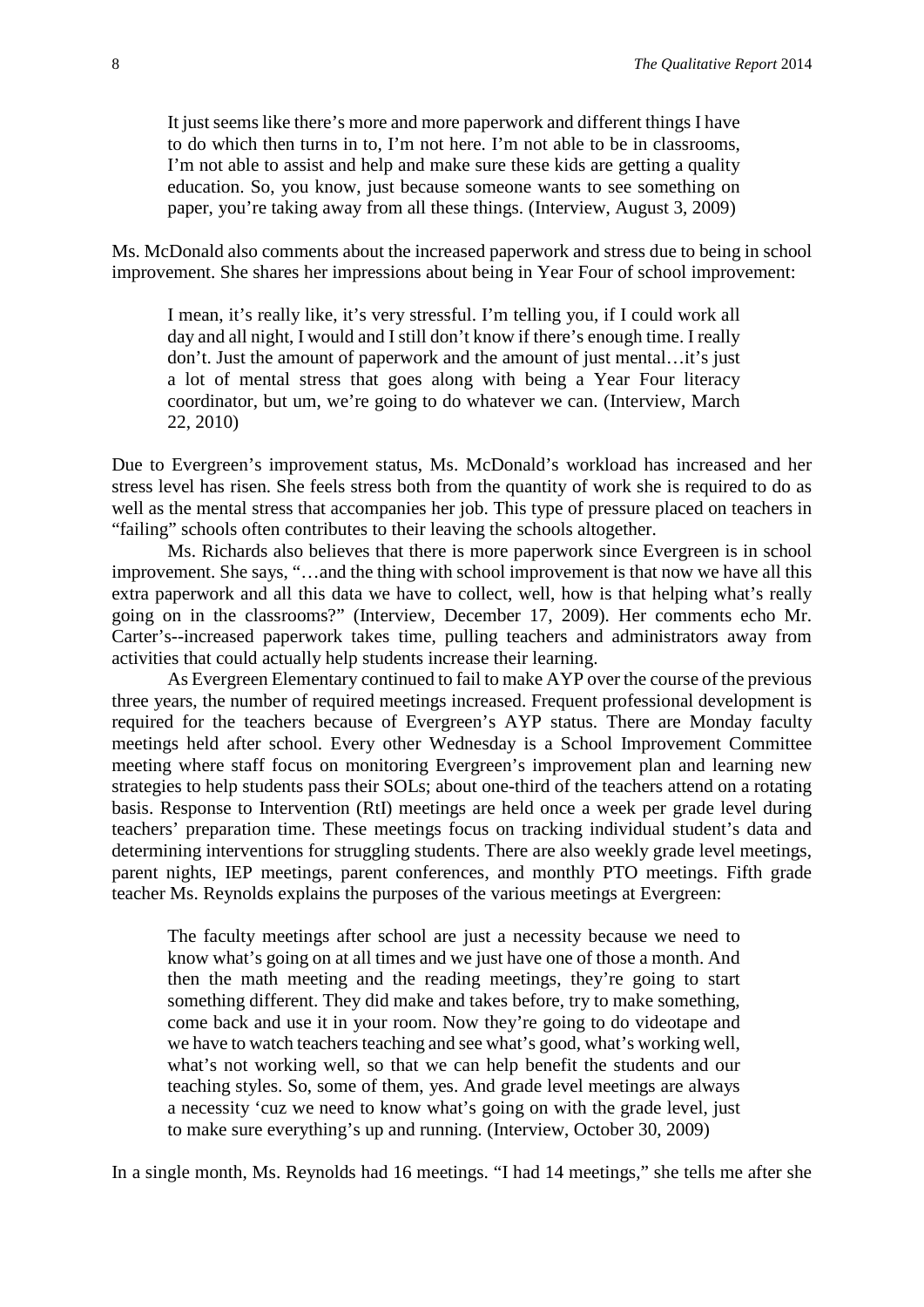It just seems like there's more and more paperwork and different things I have to do which then turns in to, I'm not here. I'm not able to be in classrooms, I'm not able to assist and help and make sure these kids are getting a quality education. So, you know, just because someone wants to see something on paper, you're taking away from all these things. (Interview, August 3, 2009)

Ms. McDonald also comments about the increased paperwork and stress due to being in school improvement. She shares her impressions about being in Year Four of school improvement:

I mean, it's really like, it's very stressful. I'm telling you, if I could work all day and all night, I would and I still don't know if there's enough time. I really don't. Just the amount of paperwork and the amount of just mental…it's just a lot of mental stress that goes along with being a Year Four literacy coordinator, but um, we're going to do whatever we can. (Interview, March 22, 2010)

Due to Evergreen's improvement status, Ms. McDonald's workload has increased and her stress level has risen. She feels stress both from the quantity of work she is required to do as well as the mental stress that accompanies her job. This type of pressure placed on teachers in "failing" schools often contributes to their leaving the schools altogether.

Ms. Richards also believes that there is more paperwork since Evergreen is in school improvement. She says, "…and the thing with school improvement is that now we have all this extra paperwork and all this data we have to collect, well, how is that helping what's really going on in the classrooms?" (Interview, December 17, 2009). Her comments echo Mr. Carter's--increased paperwork takes time, pulling teachers and administrators away from activities that could actually help students increase their learning.

As Evergreen Elementary continued to fail to make AYP over the course of the previous three years, the number of required meetings increased. Frequent professional development is required for the teachers because of Evergreen's AYP status. There are Monday faculty meetings held after school. Every other Wednesday is a School Improvement Committee meeting where staff focus on monitoring Evergreen's improvement plan and learning new strategies to help students pass their SOLs; about one-third of the teachers attend on a rotating basis. Response to Intervention (RtI) meetings are held once a week per grade level during teachers' preparation time. These meetings focus on tracking individual student's data and determining interventions for struggling students. There are also weekly grade level meetings, parent nights, IEP meetings, parent conferences, and monthly PTO meetings. Fifth grade teacher Ms. Reynolds explains the purposes of the various meetings at Evergreen:

The faculty meetings after school are just a necessity because we need to know what's going on at all times and we just have one of those a month. And then the math meeting and the reading meetings, they're going to start something different. They did make and takes before, try to make something, come back and use it in your room. Now they're going to do videotape and we have to watch teachers teaching and see what's good, what's working well, what's not working well, so that we can help benefit the students and our teaching styles. So, some of them, yes. And grade level meetings are always a necessity 'cuz we need to know what's going on with the grade level, just to make sure everything's up and running. (Interview, October 30, 2009)

In a single month, Ms. Reynolds had 16 meetings. "I had 14 meetings," she tells me after she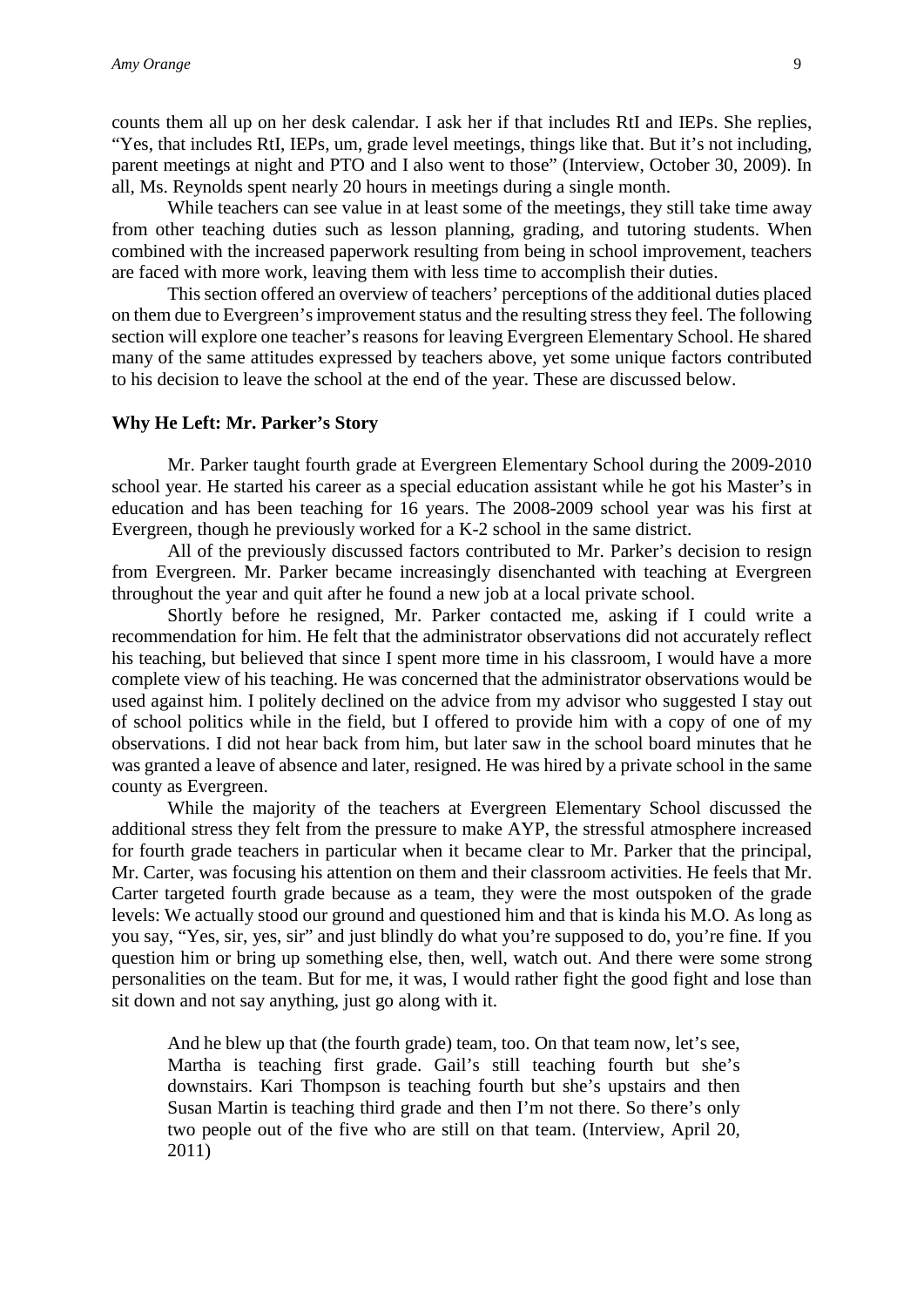counts them all up on her desk calendar. I ask her if that includes RtI and IEPs. She replies, "Yes, that includes RtI, IEPs, um, grade level meetings, things like that. But it's not including, parent meetings at night and PTO and I also went to those" (Interview, October 30, 2009). In all, Ms. Reynolds spent nearly 20 hours in meetings during a single month.

While teachers can see value in at least some of the meetings, they still take time away from other teaching duties such as lesson planning, grading, and tutoring students. When combined with the increased paperwork resulting from being in school improvement, teachers are faced with more work, leaving them with less time to accomplish their duties.

This section offered an overview of teachers' perceptions of the additional duties placed on them due to Evergreen's improvement status and the resulting stress they feel. The following section will explore one teacher's reasons for leaving Evergreen Elementary School. He shared many of the same attitudes expressed by teachers above, yet some unique factors contributed to his decision to leave the school at the end of the year. These are discussed below.

#### **Why He Left: Mr. Parker's Story**

Mr. Parker taught fourth grade at Evergreen Elementary School during the 2009-2010 school year. He started his career as a special education assistant while he got his Master's in education and has been teaching for 16 years. The 2008-2009 school year was his first at Evergreen, though he previously worked for a K-2 school in the same district.

All of the previously discussed factors contributed to Mr. Parker's decision to resign from Evergreen. Mr. Parker became increasingly disenchanted with teaching at Evergreen throughout the year and quit after he found a new job at a local private school.

Shortly before he resigned, Mr. Parker contacted me, asking if I could write a recommendation for him. He felt that the administrator observations did not accurately reflect his teaching, but believed that since I spent more time in his classroom, I would have a more complete view of his teaching. He was concerned that the administrator observations would be used against him. I politely declined on the advice from my advisor who suggested I stay out of school politics while in the field, but I offered to provide him with a copy of one of my observations. I did not hear back from him, but later saw in the school board minutes that he was granted a leave of absence and later, resigned. He was hired by a private school in the same county as Evergreen.

While the majority of the teachers at Evergreen Elementary School discussed the additional stress they felt from the pressure to make AYP, the stressful atmosphere increased for fourth grade teachers in particular when it became clear to Mr. Parker that the principal, Mr. Carter, was focusing his attention on them and their classroom activities. He feels that Mr. Carter targeted fourth grade because as a team, they were the most outspoken of the grade levels: We actually stood our ground and questioned him and that is kinda his M.O. As long as you say, "Yes, sir, yes, sir" and just blindly do what you're supposed to do, you're fine. If you question him or bring up something else, then, well, watch out. And there were some strong personalities on the team. But for me, it was, I would rather fight the good fight and lose than sit down and not say anything, just go along with it.

And he blew up that (the fourth grade) team, too. On that team now, let's see, Martha is teaching first grade. Gail's still teaching fourth but she's downstairs. Kari Thompson is teaching fourth but she's upstairs and then Susan Martin is teaching third grade and then I'm not there. So there's only two people out of the five who are still on that team. (Interview, April 20, 2011)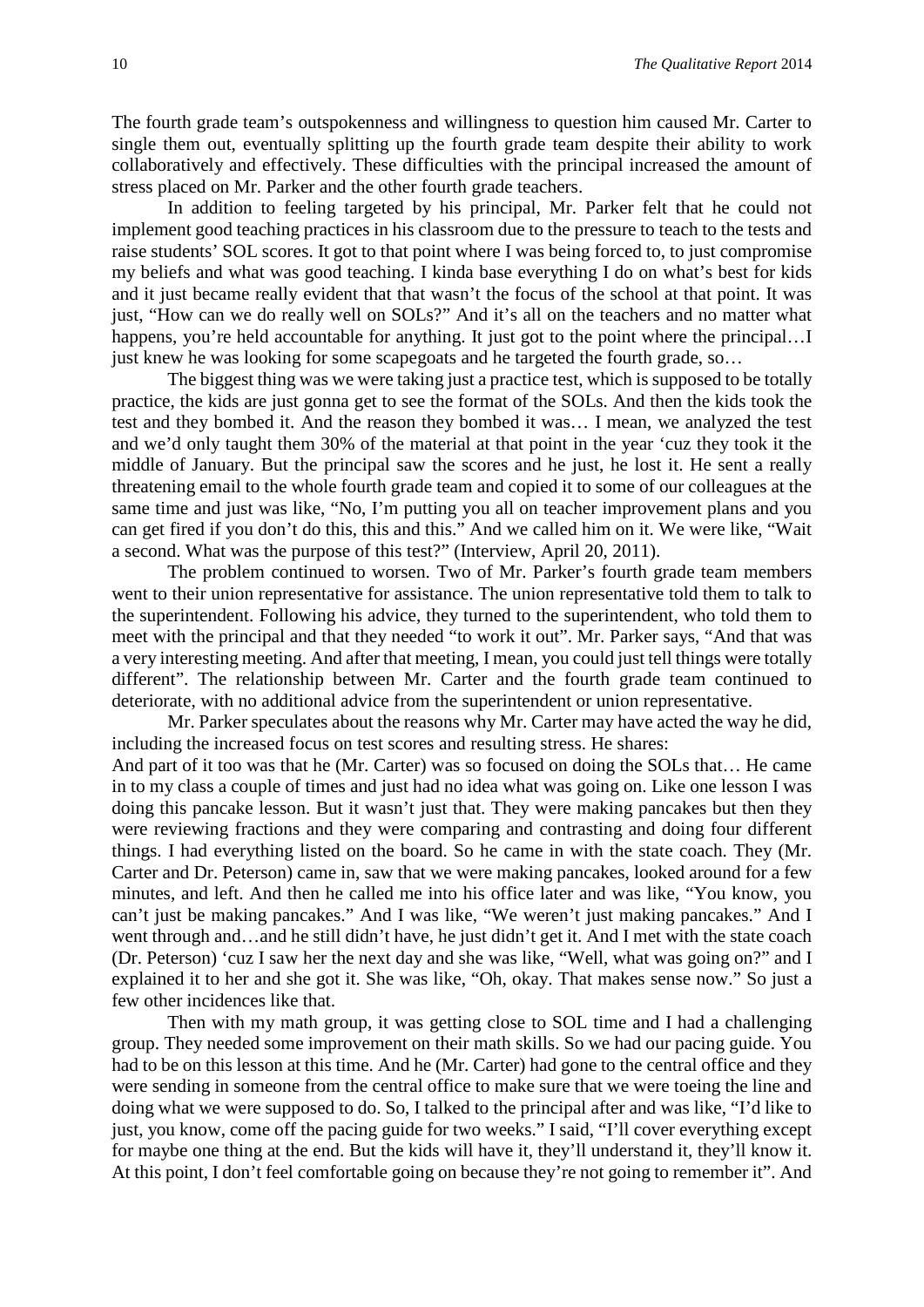The fourth grade team's outspokenness and willingness to question him caused Mr. Carter to single them out, eventually splitting up the fourth grade team despite their ability to work collaboratively and effectively. These difficulties with the principal increased the amount of stress placed on Mr. Parker and the other fourth grade teachers.

In addition to feeling targeted by his principal, Mr. Parker felt that he could not implement good teaching practices in his classroom due to the pressure to teach to the tests and raise students' SOL scores. It got to that point where I was being forced to, to just compromise my beliefs and what was good teaching. I kinda base everything I do on what's best for kids and it just became really evident that that wasn't the focus of the school at that point. It was just, "How can we do really well on SOLs?" And it's all on the teachers and no matter what happens, you're held accountable for anything. It just got to the point where the principal...I just knew he was looking for some scapegoats and he targeted the fourth grade, so…

The biggest thing was we were taking just a practice test, which is supposed to be totally practice, the kids are just gonna get to see the format of the SOLs. And then the kids took the test and they bombed it. And the reason they bombed it was… I mean, we analyzed the test and we'd only taught them 30% of the material at that point in the year 'cuz they took it the middle of January. But the principal saw the scores and he just, he lost it. He sent a really threatening email to the whole fourth grade team and copied it to some of our colleagues at the same time and just was like, "No, I'm putting you all on teacher improvement plans and you can get fired if you don't do this, this and this." And we called him on it. We were like, "Wait a second. What was the purpose of this test?" (Interview, April 20, 2011).

The problem continued to worsen. Two of Mr. Parker's fourth grade team members went to their union representative for assistance. The union representative told them to talk to the superintendent. Following his advice, they turned to the superintendent, who told them to meet with the principal and that they needed "to work it out". Mr. Parker says, "And that was a very interesting meeting. And after that meeting, I mean, you could just tell things were totally different". The relationship between Mr. Carter and the fourth grade team continued to deteriorate, with no additional advice from the superintendent or union representative.

Mr. Parker speculates about the reasons why Mr. Carter may have acted the way he did, including the increased focus on test scores and resulting stress. He shares:

And part of it too was that he (Mr. Carter) was so focused on doing the SOLs that… He came in to my class a couple of times and just had no idea what was going on. Like one lesson I was doing this pancake lesson. But it wasn't just that. They were making pancakes but then they were reviewing fractions and they were comparing and contrasting and doing four different things. I had everything listed on the board. So he came in with the state coach. They (Mr. Carter and Dr. Peterson) came in, saw that we were making pancakes, looked around for a few minutes, and left. And then he called me into his office later and was like, "You know, you can't just be making pancakes." And I was like, "We weren't just making pancakes." And I went through and…and he still didn't have, he just didn't get it. And I met with the state coach (Dr. Peterson) 'cuz I saw her the next day and she was like, "Well, what was going on?" and I explained it to her and she got it. She was like, "Oh, okay. That makes sense now." So just a few other incidences like that.

Then with my math group, it was getting close to SOL time and I had a challenging group. They needed some improvement on their math skills. So we had our pacing guide. You had to be on this lesson at this time. And he (Mr. Carter) had gone to the central office and they were sending in someone from the central office to make sure that we were toeing the line and doing what we were supposed to do. So, I talked to the principal after and was like, "I'd like to just, you know, come off the pacing guide for two weeks." I said, "I'll cover everything except for maybe one thing at the end. But the kids will have it, they'll understand it, they'll know it. At this point, I don't feel comfortable going on because they're not going to remember it". And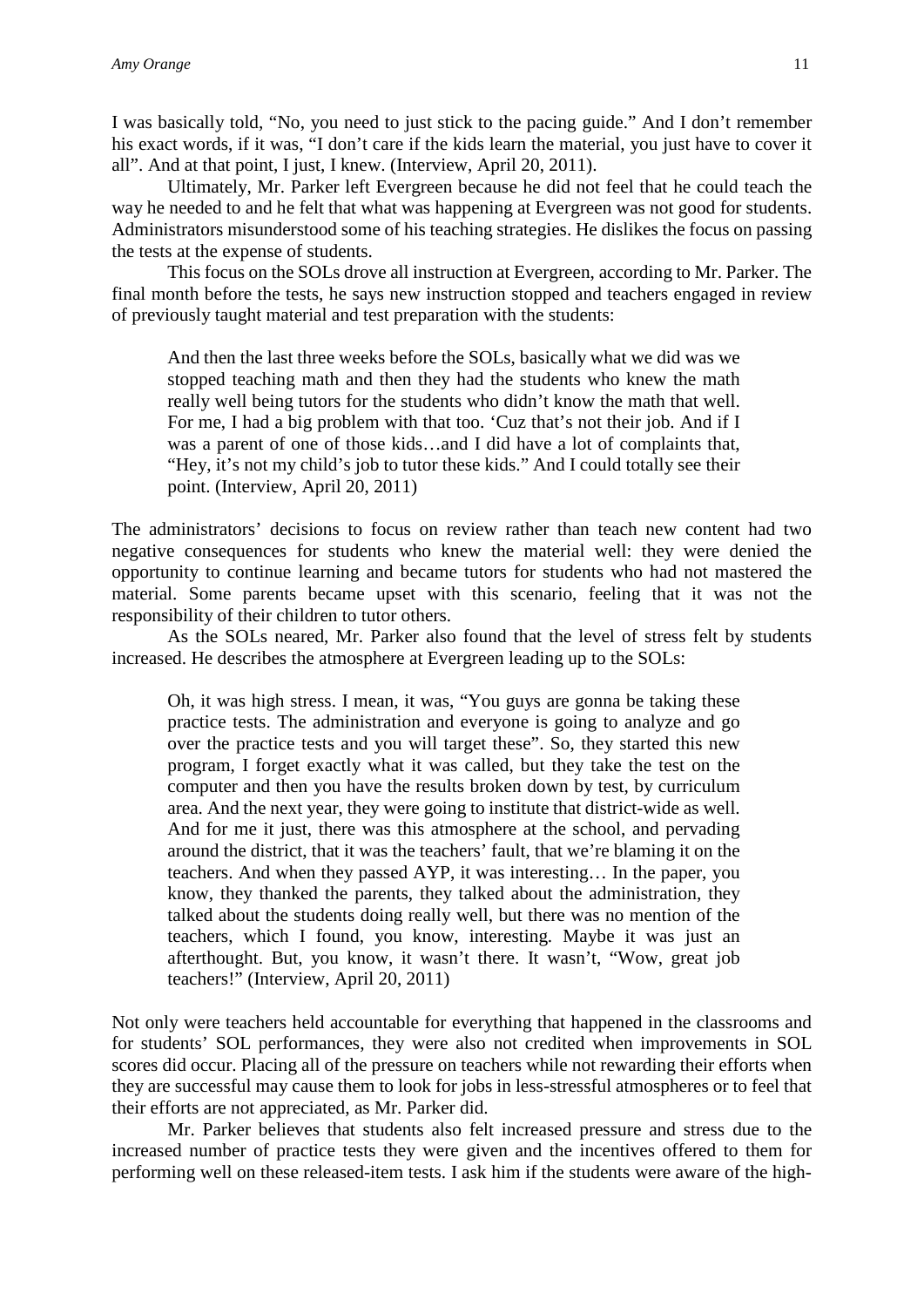I was basically told, "No, you need to just stick to the pacing guide." And I don't remember his exact words, if it was, "I don't care if the kids learn the material, you just have to cover it all". And at that point, I just, I knew. (Interview, April 20, 2011).

Ultimately, Mr. Parker left Evergreen because he did not feel that he could teach the way he needed to and he felt that what was happening at Evergreen was not good for students. Administrators misunderstood some of his teaching strategies. He dislikes the focus on passing the tests at the expense of students.

This focus on the SOLs drove all instruction at Evergreen, according to Mr. Parker. The final month before the tests, he says new instruction stopped and teachers engaged in review of previously taught material and test preparation with the students:

And then the last three weeks before the SOLs, basically what we did was we stopped teaching math and then they had the students who knew the math really well being tutors for the students who didn't know the math that well. For me, I had a big problem with that too. 'Cuz that's not their job. And if I was a parent of one of those kids…and I did have a lot of complaints that, "Hey, it's not my child's job to tutor these kids." And I could totally see their point. (Interview, April 20, 2011)

The administrators' decisions to focus on review rather than teach new content had two negative consequences for students who knew the material well: they were denied the opportunity to continue learning and became tutors for students who had not mastered the material. Some parents became upset with this scenario, feeling that it was not the responsibility of their children to tutor others.

As the SOLs neared, Mr. Parker also found that the level of stress felt by students increased. He describes the atmosphere at Evergreen leading up to the SOLs:

Oh, it was high stress. I mean, it was, "You guys are gonna be taking these practice tests. The administration and everyone is going to analyze and go over the practice tests and you will target these". So, they started this new program, I forget exactly what it was called, but they take the test on the computer and then you have the results broken down by test, by curriculum area. And the next year, they were going to institute that district-wide as well. And for me it just, there was this atmosphere at the school, and pervading around the district, that it was the teachers' fault, that we're blaming it on the teachers. And when they passed AYP, it was interesting… In the paper, you know, they thanked the parents, they talked about the administration, they talked about the students doing really well, but there was no mention of the teachers, which I found, you know, interesting. Maybe it was just an afterthought. But, you know, it wasn't there. It wasn't, "Wow, great job teachers!" (Interview, April 20, 2011)

Not only were teachers held accountable for everything that happened in the classrooms and for students' SOL performances, they were also not credited when improvements in SOL scores did occur. Placing all of the pressure on teachers while not rewarding their efforts when they are successful may cause them to look for jobs in less-stressful atmospheres or to feel that their efforts are not appreciated, as Mr. Parker did.

Mr. Parker believes that students also felt increased pressure and stress due to the increased number of practice tests they were given and the incentives offered to them for performing well on these released-item tests. I ask him if the students were aware of the high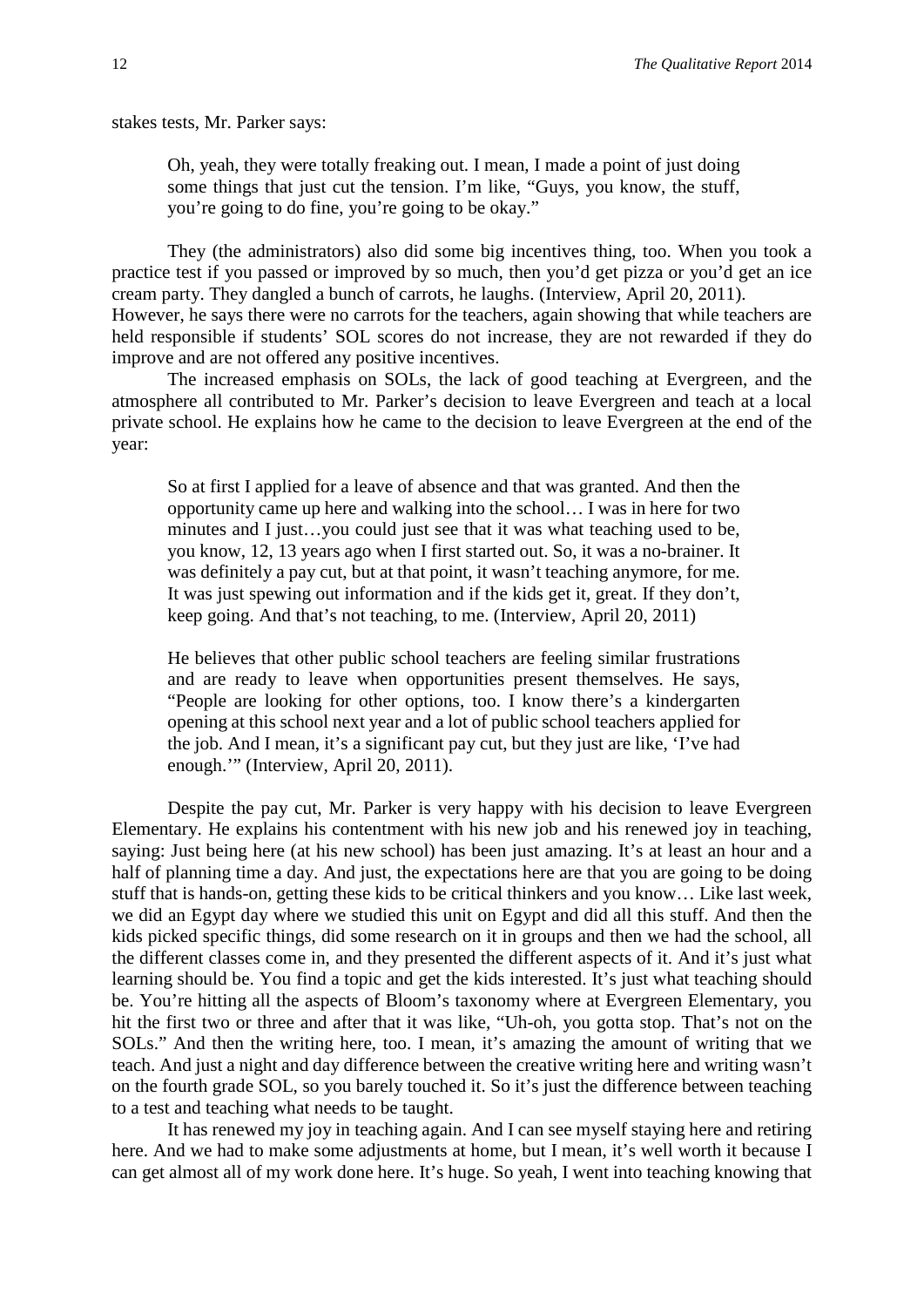stakes tests, Mr. Parker says:

Oh, yeah, they were totally freaking out. I mean, I made a point of just doing some things that just cut the tension. I'm like, "Guys, you know, the stuff, you're going to do fine, you're going to be okay."

They (the administrators) also did some big incentives thing, too. When you took a practice test if you passed or improved by so much, then you'd get pizza or you'd get an ice cream party. They dangled a bunch of carrots, he laughs. (Interview, April 20, 2011). However, he says there were no carrots for the teachers, again showing that while teachers are held responsible if students' SOL scores do not increase, they are not rewarded if they do improve and are not offered any positive incentives.

The increased emphasis on SOLs, the lack of good teaching at Evergreen, and the atmosphere all contributed to Mr. Parker's decision to leave Evergreen and teach at a local private school. He explains how he came to the decision to leave Evergreen at the end of the year:

So at first I applied for a leave of absence and that was granted. And then the opportunity came up here and walking into the school… I was in here for two minutes and I just…you could just see that it was what teaching used to be, you know, 12, 13 years ago when I first started out. So, it was a no-brainer. It was definitely a pay cut, but at that point, it wasn't teaching anymore, for me. It was just spewing out information and if the kids get it, great. If they don't, keep going. And that's not teaching, to me. (Interview, April 20, 2011)

He believes that other public school teachers are feeling similar frustrations and are ready to leave when opportunities present themselves. He says, "People are looking for other options, too. I know there's a kindergarten opening at this school next year and a lot of public school teachers applied for the job. And I mean, it's a significant pay cut, but they just are like, 'I've had enough.'" (Interview, April 20, 2011).

Despite the pay cut, Mr. Parker is very happy with his decision to leave Evergreen Elementary. He explains his contentment with his new job and his renewed joy in teaching, saying: Just being here (at his new school) has been just amazing. It's at least an hour and a half of planning time a day. And just, the expectations here are that you are going to be doing stuff that is hands-on, getting these kids to be critical thinkers and you know… Like last week, we did an Egypt day where we studied this unit on Egypt and did all this stuff. And then the kids picked specific things, did some research on it in groups and then we had the school, all the different classes come in, and they presented the different aspects of it. And it's just what learning should be. You find a topic and get the kids interested. It's just what teaching should be. You're hitting all the aspects of Bloom's taxonomy where at Evergreen Elementary, you hit the first two or three and after that it was like, "Uh-oh, you gotta stop. That's not on the SOLs." And then the writing here, too. I mean, it's amazing the amount of writing that we teach. And just a night and day difference between the creative writing here and writing wasn't on the fourth grade SOL, so you barely touched it. So it's just the difference between teaching to a test and teaching what needs to be taught.

It has renewed my joy in teaching again. And I can see myself staying here and retiring here. And we had to make some adjustments at home, but I mean, it's well worth it because I can get almost all of my work done here. It's huge. So yeah, I went into teaching knowing that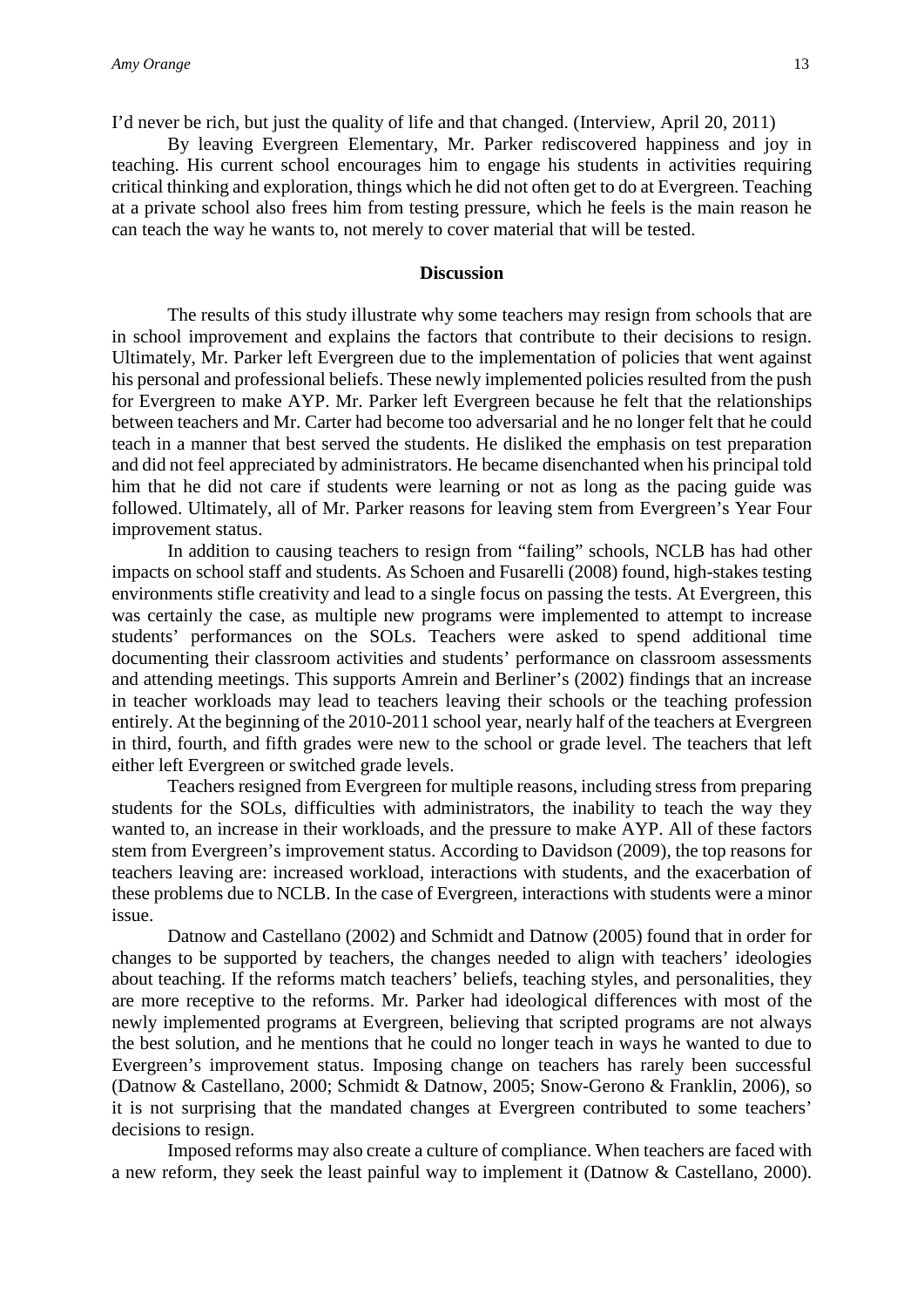I'd never be rich, but just the quality of life and that changed. (Interview, April 20, 2011)

By leaving Evergreen Elementary, Mr. Parker rediscovered happiness and joy in teaching. His current school encourages him to engage his students in activities requiring critical thinking and exploration, things which he did not often get to do at Evergreen. Teaching at a private school also frees him from testing pressure, which he feels is the main reason he can teach the way he wants to, not merely to cover material that will be tested.

#### **Discussion**

The results of this study illustrate why some teachers may resign from schools that are in school improvement and explains the factors that contribute to their decisions to resign. Ultimately, Mr. Parker left Evergreen due to the implementation of policies that went against his personal and professional beliefs. These newly implemented policies resulted from the push for Evergreen to make AYP. Mr. Parker left Evergreen because he felt that the relationships between teachers and Mr. Carter had become too adversarial and he no longer felt that he could teach in a manner that best served the students. He disliked the emphasis on test preparation and did not feel appreciated by administrators. He became disenchanted when his principal told him that he did not care if students were learning or not as long as the pacing guide was followed. Ultimately, all of Mr. Parker reasons for leaving stem from Evergreen's Year Four improvement status.

In addition to causing teachers to resign from "failing" schools, NCLB has had other impacts on school staff and students. As Schoen and Fusarelli (2008) found, high-stakes testing environments stifle creativity and lead to a single focus on passing the tests. At Evergreen, this was certainly the case, as multiple new programs were implemented to attempt to increase students' performances on the SOLs. Teachers were asked to spend additional time documenting their classroom activities and students' performance on classroom assessments and attending meetings. This supports Amrein and Berliner's (2002) findings that an increase in teacher workloads may lead to teachers leaving their schools or the teaching profession entirely. At the beginning of the 2010-2011 school year, nearly half of the teachers at Evergreen in third, fourth, and fifth grades were new to the school or grade level. The teachers that left either left Evergreen or switched grade levels.

Teachers resigned from Evergreen for multiple reasons, including stress from preparing students for the SOLs, difficulties with administrators, the inability to teach the way they wanted to, an increase in their workloads, and the pressure to make AYP. All of these factors stem from Evergreen's improvement status. According to Davidson (2009), the top reasons for teachers leaving are: increased workload, interactions with students, and the exacerbation of these problems due to NCLB. In the case of Evergreen, interactions with students were a minor issue.

Datnow and Castellano (2002) and Schmidt and Datnow (2005) found that in order for changes to be supported by teachers, the changes needed to align with teachers' ideologies about teaching. If the reforms match teachers' beliefs, teaching styles, and personalities, they are more receptive to the reforms. Mr. Parker had ideological differences with most of the newly implemented programs at Evergreen, believing that scripted programs are not always the best solution, and he mentions that he could no longer teach in ways he wanted to due to Evergreen's improvement status. Imposing change on teachers has rarely been successful (Datnow & Castellano, 2000; Schmidt & Datnow, 2005; Snow-Gerono & Franklin, 2006), so it is not surprising that the mandated changes at Evergreen contributed to some teachers' decisions to resign.

Imposed reforms may also create a culture of compliance. When teachers are faced with a new reform, they seek the least painful way to implement it (Datnow & Castellano, 2000).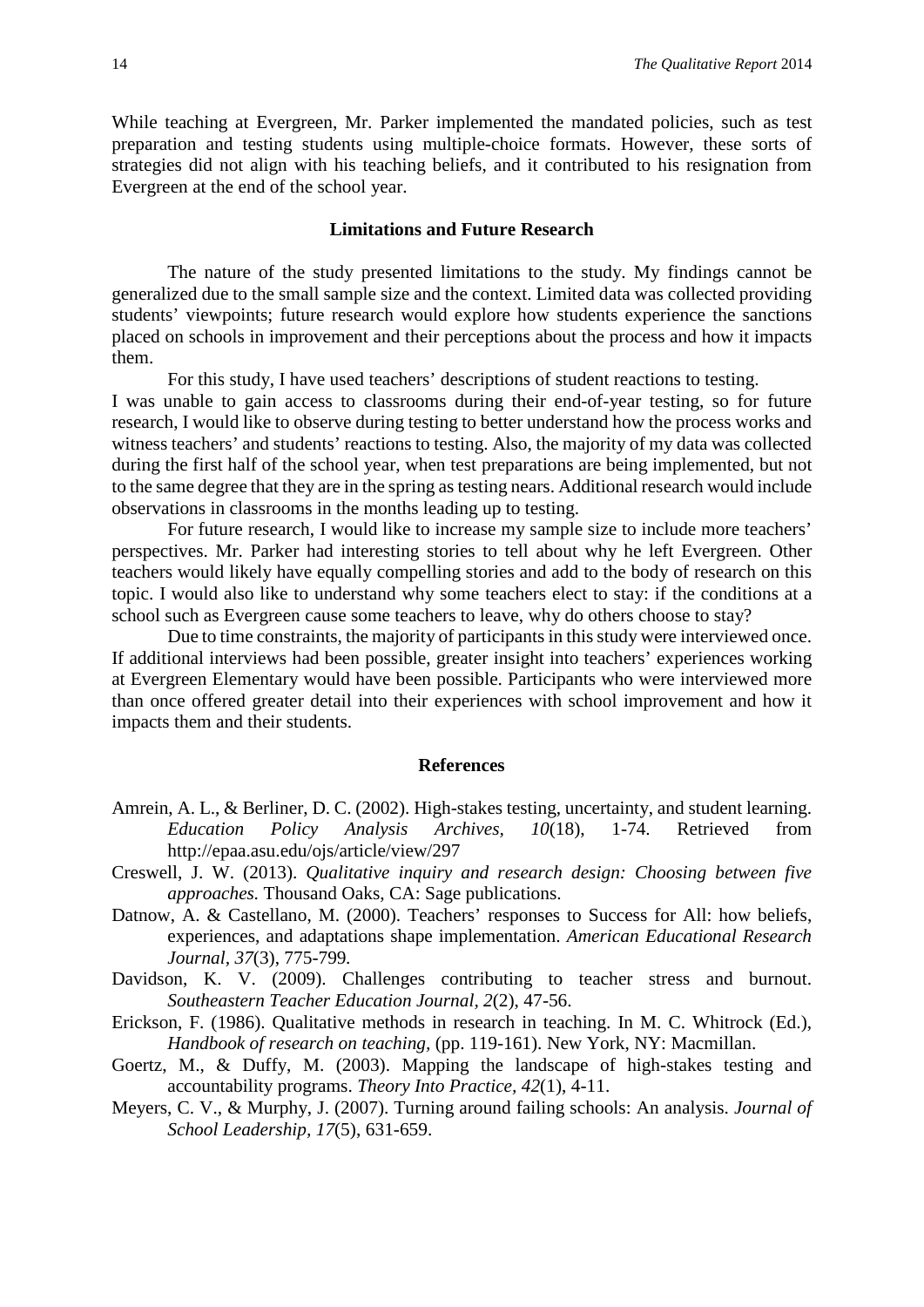While teaching at Evergreen, Mr. Parker implemented the mandated policies, such as test preparation and testing students using multiple-choice formats. However, these sorts of strategies did not align with his teaching beliefs, and it contributed to his resignation from Evergreen at the end of the school year.

#### **Limitations and Future Research**

The nature of the study presented limitations to the study. My findings cannot be generalized due to the small sample size and the context. Limited data was collected providing students' viewpoints; future research would explore how students experience the sanctions placed on schools in improvement and their perceptions about the process and how it impacts them.

For this study, I have used teachers' descriptions of student reactions to testing. I was unable to gain access to classrooms during their end-of-year testing, so for future research, I would like to observe during testing to better understand how the process works and witness teachers' and students' reactions to testing. Also, the majority of my data was collected during the first half of the school year, when test preparations are being implemented, but not to the same degree that they are in the spring as testing nears. Additional research would include observations in classrooms in the months leading up to testing.

For future research, I would like to increase my sample size to include more teachers' perspectives. Mr. Parker had interesting stories to tell about why he left Evergreen. Other teachers would likely have equally compelling stories and add to the body of research on this topic. I would also like to understand why some teachers elect to stay: if the conditions at a school such as Evergreen cause some teachers to leave, why do others choose to stay?

Due to time constraints, the majority of participants in this study were interviewed once. If additional interviews had been possible, greater insight into teachers' experiences working at Evergreen Elementary would have been possible. Participants who were interviewed more than once offered greater detail into their experiences with school improvement and how it impacts them and their students.

#### **References**

- Amrein, A. L., & Berliner, D. C. (2002). High-stakes testing, uncertainty, and student learning. *Education Policy Analysis Archives, 10*(18), 1-74. Retrieved from http://epaa.asu.edu/ojs/article/view/297
- Creswell, J. W. (2013). *Qualitative inquiry and research design: Choosing between five approaches.* Thousand Oaks, CA: Sage publications.
- Datnow, A. & Castellano, M. (2000). Teachers' responses to Success for All: how beliefs, experiences, and adaptations shape implementation. *American Educational Research Journal, 37*(3), 775-799*.*
- Davidson, K. V. (2009). Challenges contributing to teacher stress and burnout. *Southeastern Teacher Education Journal, 2*(2), 47-56.
- Erickson, F. (1986). Qualitative methods in research in teaching. In M. C. Whitrock (Ed.), *Handbook of research on teaching,* (pp. 119-161). New York, NY: Macmillan.
- Goertz, M., & Duffy, M. (2003). Mapping the landscape of high-stakes testing and accountability programs. *Theory Into Practice, 42*(1), 4-11.
- Meyers, C. V., & Murphy, J. (2007). Turning around failing schools: An analysis. *Journal of School Leadership, 17*(5), 631-659.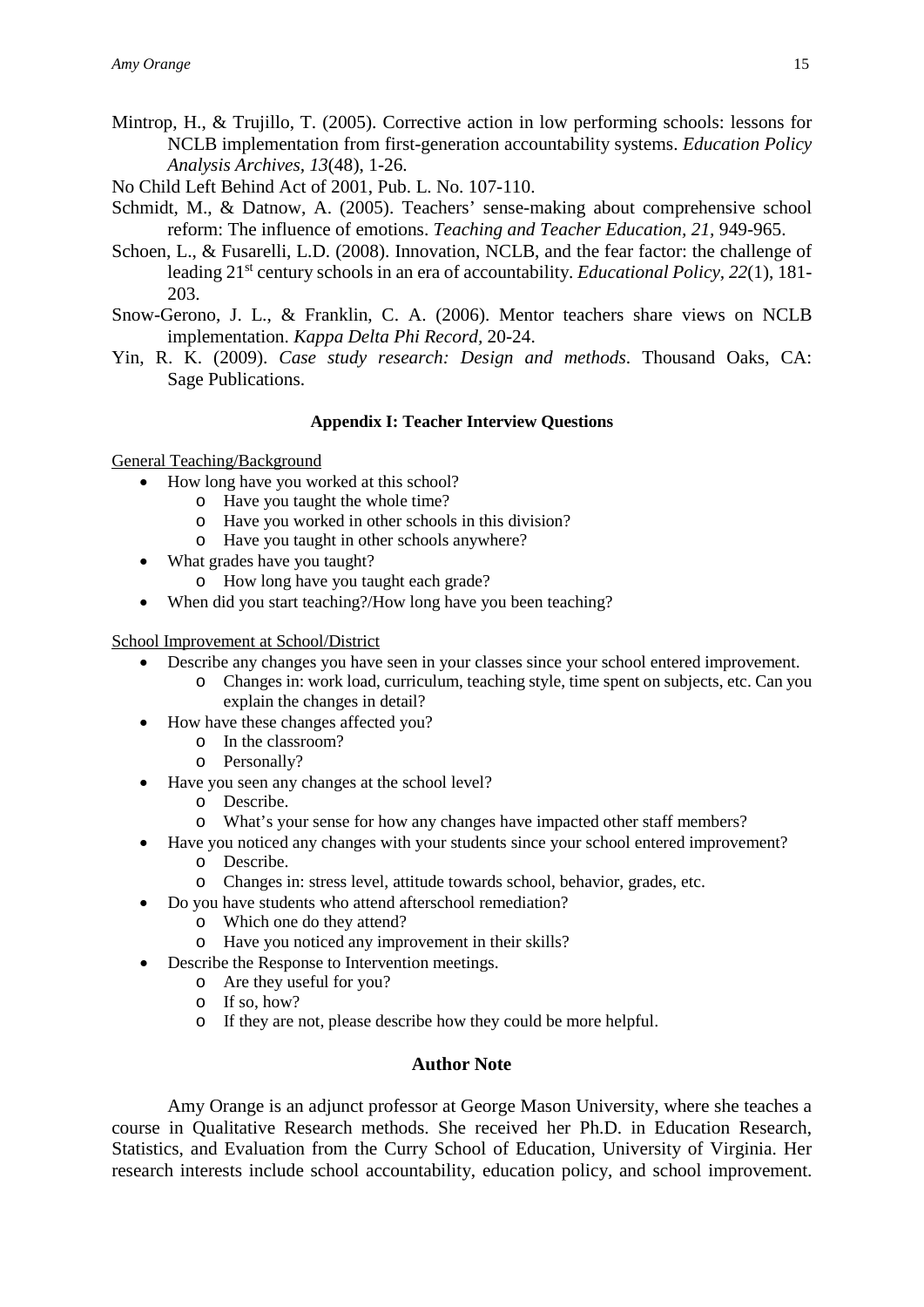- Mintrop, H., & Trujillo, T. (2005). Corrective action in low performing schools: lessons for NCLB implementation from first-generation accountability systems. *Education Policy Analysis Archives, 13*(48), 1-26.
- No Child Left Behind Act of 2001, Pub. L. No. 107-110.
- Schmidt, M., & Datnow, A. (2005). Teachers' sense-making about comprehensive school reform: The influence of emotions. *Teaching and Teacher Education, 21,* 949-965.
- Schoen, L., & Fusarelli, L.D. (2008). Innovation, NCLB, and the fear factor: the challenge of leading 21<sup>st</sup> century schools in an era of accountability. *Educational Policy*, 22(1), 181-203.
- Snow-Gerono, J. L., & Franklin, C. A. (2006). Mentor teachers share views on NCLB implementation. *Kappa Delta Phi Record,* 20-24.
- Yin, R. K. (2009). *Case study research: Design and methods*. Thousand Oaks, CA: Sage Publications.

#### **Appendix I: Teacher Interview Questions**

General Teaching/Background

- How long have you worked at this school?
	- o Have you taught the whole time?
	- o Have you worked in other schools in this division?
	- o Have you taught in other schools anywhere?
- What grades have you taught?
	- o How long have you taught each grade?
- When did you start teaching?/How long have you been teaching?

School Improvement at School/District

- Describe any changes you have seen in your classes since your school entered improvement.
	- o Changes in: work load, curriculum, teaching style, time spent on subjects, etc. Can you explain the changes in detail?
- How have these changes affected you?
	- o In the classroom?
	- o Personally?
- Have you seen any changes at the school level?
	- o Describe.
	- o What's your sense for how any changes have impacted other staff members?
- Have you noticed any changes with your students since your school entered improvement? o Describe.
	- o Changes in: stress level, attitude towards school, behavior, grades, etc.
- Do you have students who attend afterschool remediation?
	- o Which one do they attend?
	- o Have you noticed any improvement in their skills?
- Describe the Response to Intervention meetings.
	- o Are they useful for you?
	- o If so, how?
	- o If they are not, please describe how they could be more helpful.

#### **Author Note**

Amy Orange is an adjunct professor at George Mason University, where she teaches a course in Qualitative Research methods. She received her Ph.D. in Education Research, Statistics, and Evaluation from the Curry School of Education, University of Virginia. Her research interests include school accountability, education policy, and school improvement.